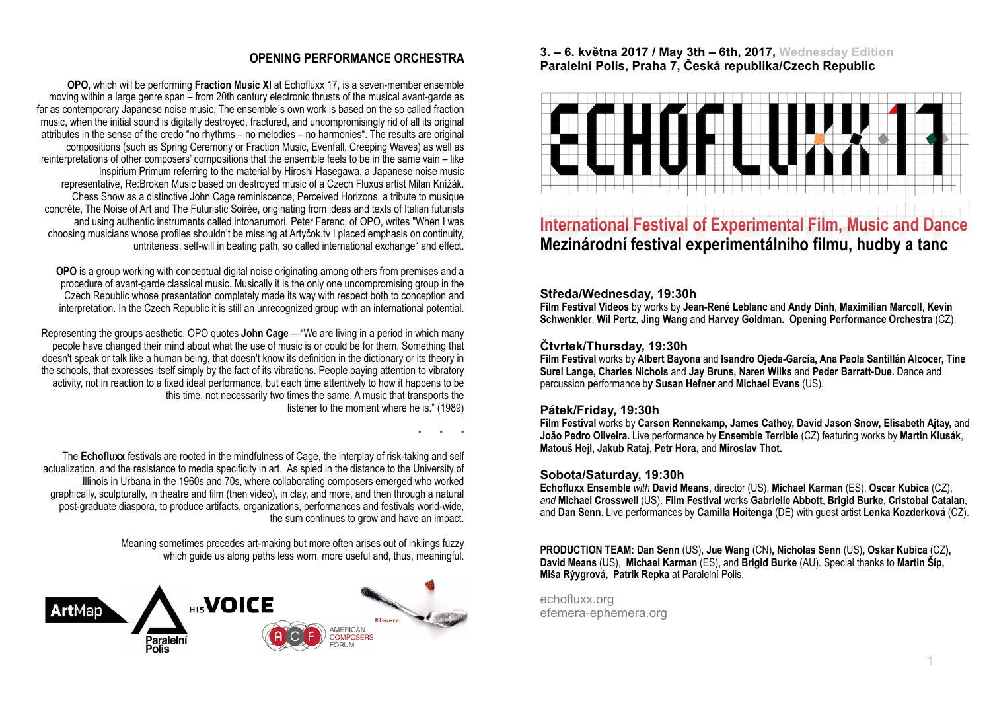# **OPENING PERFORMANCE ORCHESTRA**

• • •

**OPO,** which will be performing **Fraction Music XI** at Echofluxx 17, is a seven-member ensemble moving within a large genre span – from 20th century electronic thrusts of the musical avant-garde as far as contemporary Japanese noise music. The ensemble´s own work is based on the so called fraction music, when the initial sound is digitally destroyed, fractured, and uncompromisingly rid of all its original attributes in the sense of the credo "no rhythms – no melodies – no harmonies". The results are original compositions (such as Spring Ceremony or Fraction Music, Evenfall, Creeping Waves) as well as reinterpretations of other composers' compositions that the ensemble feels to be in the same vain – like Inspirium Primum referring to the material by Hiroshi Hasegawa, a Japanese noise music representative, Re:[Broken Music based on destroyed music of a Czech Fluxus artist Milan Kní](https://www.youtube.com/watch?v=88ONydyRX7c)žák. Chess Show as a distinctive John Cage reminiscence, Perceived Horizons, a tribute to musique concrète, The Noise of Art and The Futuristic Soirée, originating from ideas and texts of Italian futurists and using authentic instruments called intonarumori. [Peter Ferenc,](http://www.rozhlas.cz/radiocustica/osoby/_zprava/ferenc-petr--1401395) of OPO, writes "When I was choosing musicians whose profiles shouldn't be missing at Artyčok.tv I placed emphasis on continuity, untriteness, self-will in beating path, so called international exchange" and effect.

**OPO** is a group working with conceptual digital noise originating among others from premises and a procedure of avant-garde classical music. Musically it is the only one uncompromising group in the Czech Republic whose presentation completely made its way with respect both to conception and interpretation. In the Czech Republic it is still an unrecognized group with an international potential.

Representing the groups aesthetic, OPO quotes **John Cage** —"We are living in a period in which many people have changed their mind about what the use of music is or could be for them. Something that doesn't speak or talk like a human being, that doesn't know its definition in the dictionary or its theory in the schools, that expresses itself simply by the fact of its vibrations. People paying attention to vibratory activity, not in reaction to a fixed ideal performance, but each time attentively to how it happens to be this time, not necessarily two times the same. A music that transports the listener to the moment where he is." (1989)

The **Echofluxx** festivals are rooted in the mindfulness of Cage, the interplay of risk-taking and self actualization, and the resistance to media specificity in art. As spied in the distance to the University of Illinois in Urbana in the 1960s and 70s, where collaborating composers emerged who worked graphically, sculpturally, in theatre and film (then video), in clay, and more, and then through a natural post-graduate diaspora, to produce artifacts, organizations, performances and festivals world-wide, the sum continues to grow and have an impact.

> Meaning sometimes precedes art-making but more often arises out of inklings fuzzy which guide us along paths less worn, more useful and, thus, meaningful.



#### **3. – 6. května 2017 / May 3th – 6th, 2017, Wednesday Edition Paralelní Polis, Praha 7, Česká republika/Czech Republic**



# **International Festival of Experimental Film, Music and Dance Mezinárodní festival experimentálniho filmu, hudby a tanc**

## **Středa/Wednesday, 19:30h**

**Film Festival Videos** by works by **Jean-René Leblanc** and **Andy Dinh**, **Maximilian Marcoll**, **Kevin Schwenkler**, **Wil Pertz**, **Jing Wang** and **Harvey Goldman. Opening Performance Orchestra** (CZ).

## **Čtvrtek/Thursday, 19:30h**

**Film Festival** works by **Albert Bayona** and **Isandro Ojeda-García, Ana Paola Santillán Alcocer, Tine Surel Lange, Charles Nichols** and **Jay Bruns, Naren Wilks** and **Peder Barratt-Due.** Dance and percussion **p**erformance b**y Susan Hefner** and **Michael Evans** (US).

## **Pátek/Friday, 19:30h**

**Film Festival** works by **Carson Rennekamp, James Cathey, David Jason Snow, Elisabeth Ajtay,** and **João Pedro Oliveira.** Live performance by **Ensemble Terrible** (CZ) featuring works by **Martin Klusák**, **[Matou](http://www.matoushejl.com/)š Hejl, Jakub Rataj**, **Petr Hora,** and **Miroslav Thot.**

#### **Sobota/Saturday, 19:30h**

**Echofluxx Ensemble** *with* **David Means**, director (US), **Michael Karman** (ES), **Oscar Kubica** (CZ), *and* **Michael Crosswell** (US). **Film Festival** works **Gabrielle Abbott**, **Brigid Burke**, **Cristobal Catalan**, and **Dan Senn**. Live performances by **Camilla Hoitenga** (DE) with guest artist **Lenka Kozderková** (CZ).

**PRODUCTION TEAM: Dan Senn** (US)**, Jue Wang** (CN)**, Nicholas Senn** (US)**, Oskar Kubica** (CZ**), David Means** (US), **Michael Karman** (ES), and **Brigid Burke** (AU). Special thanks to **Martin Šíp, Miša Rýygrová, Patrik Repka** at Paralelní Polis.

echofluxx.org efemera-ephemera.org